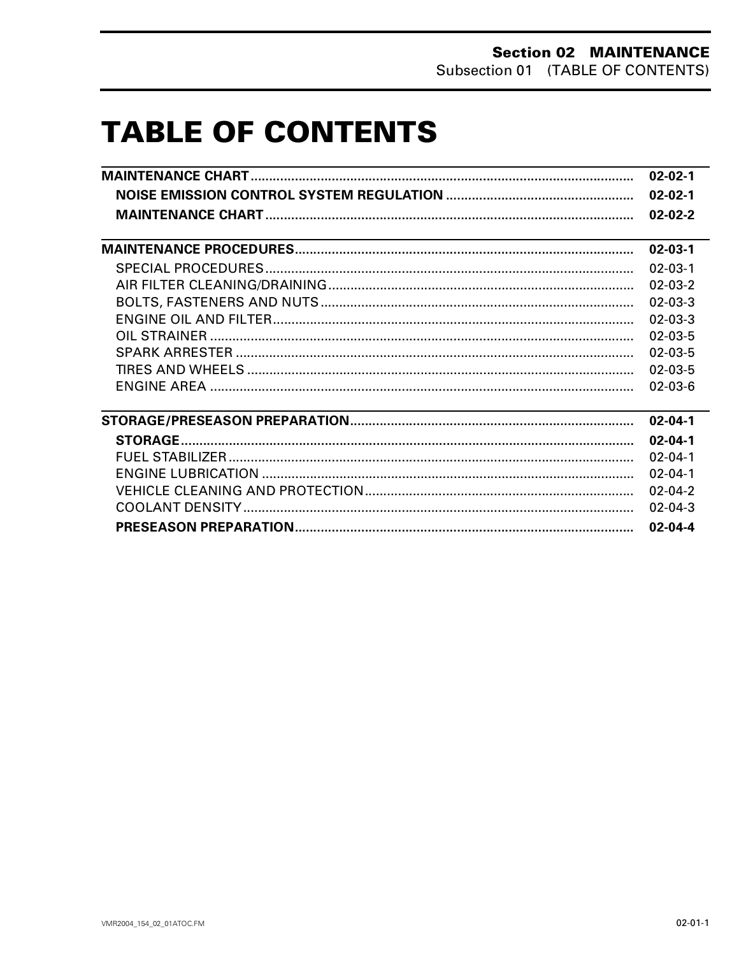# **TABLE OF CONTENTS**

| $02 - 02 - 1$ |
|---------------|
| $02 - 02 - 1$ |
| $02 - 02 - 2$ |
| $02 - 03 - 1$ |
| $02 - 03 - 1$ |
| $02 - 03 - 2$ |
| $02 - 03 - 3$ |
| $02 - 03 - 3$ |
| $02 - 03 - 5$ |
| $02 - 03 - 5$ |
| $02 - 03 - 5$ |
| $02 - 03 - 6$ |
| $02 - 04 - 1$ |
| $02 - 04 - 1$ |
| $02 - 04 - 1$ |
| $02 - 04 - 1$ |
| $02 - 04 - 2$ |
| $02 - 04 - 3$ |
| $02 - 04 - 4$ |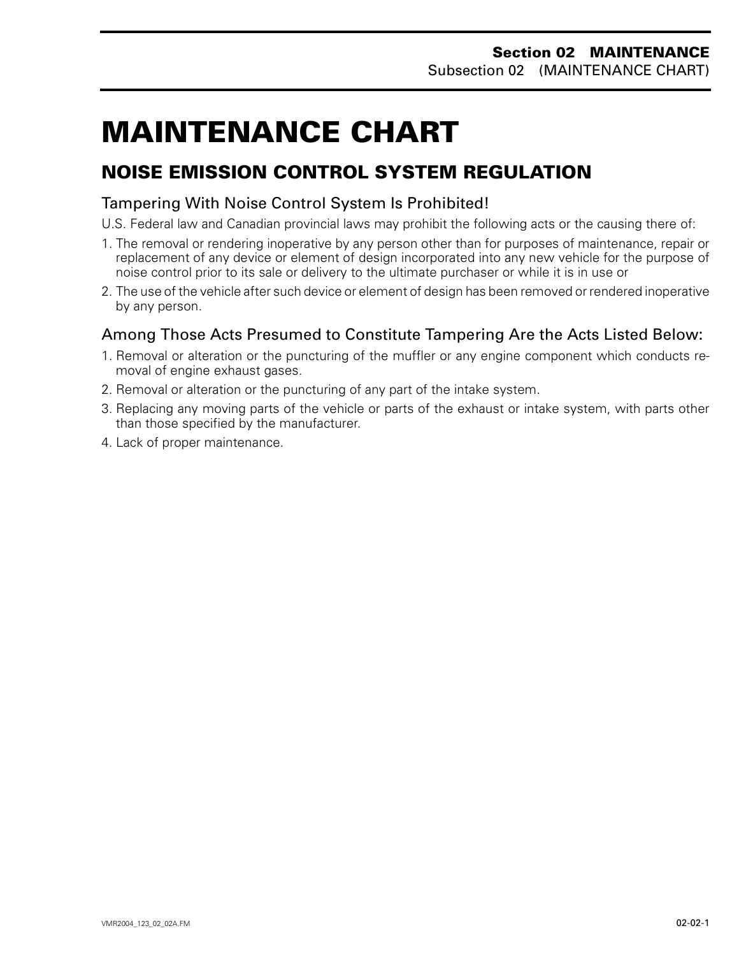# <span id="page-1-0"></span>**MAINTENANCE CHART 0**

### **NOISE EMISSION CONTROL SYSTEM REGULATION**

#### Tampering With Noise Control System Is Prohibited!

- U.S. Federal law and Canadian provincial laws may prohibit the following acts or the causing there of:
- 1. The removal or rendering inoperative by any person other than for purposes of maintenance, repair or replacement of any device or element of design incorporated into any new vehicle for the purpose of noise control prior to its sale or delivery to the ultimate purchaser or while it is in use or
- 2. The use of the vehicle after such device or element of design has been removed or rendered inoperative by any person.

### Among Those Acts Presumed to Constitute Tampering Are the Acts Listed Below:

- 1. Removal or alteration or the puncturing of the muffler or any engine component which conducts removal of engine exhaust gases.
- 2. Removal or alteration or the puncturing of any part of the intake system.
- 3. Replacing any moving parts of the vehicle or parts of the exhaust or intake system, with parts other than those specified by the manufacturer.
- 4. Lack of proper maintenance.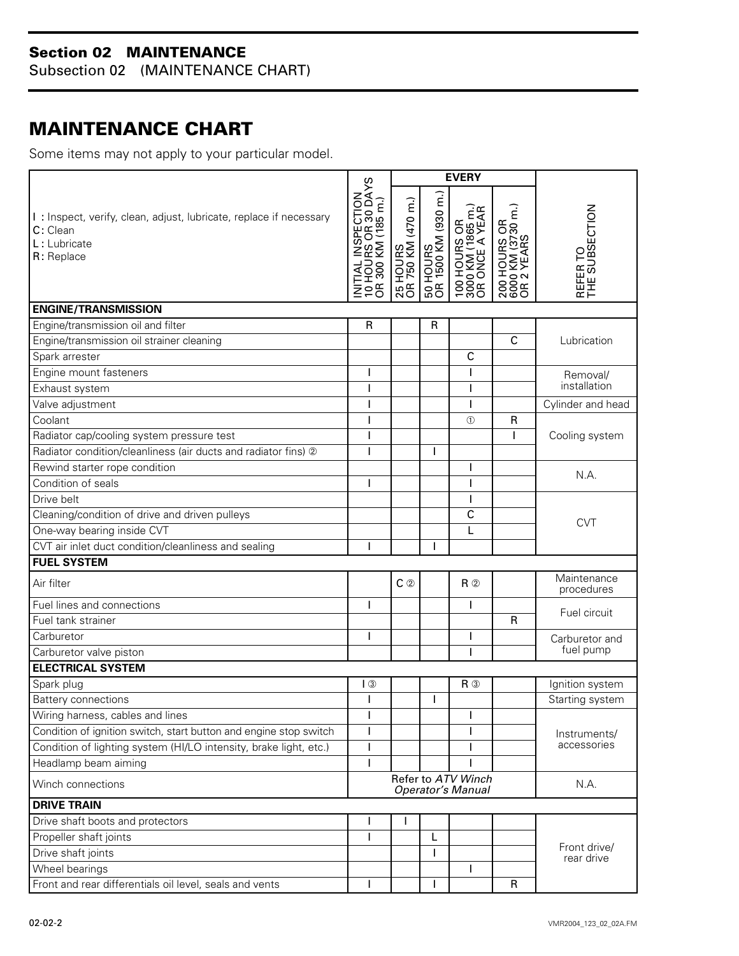Subsection 02 (MAINTENANCE CHART)

## <span id="page-2-0"></span>**MAINTENANCE CHART**

Some items may not apply to your particular model.

|                                                                                                              |                                                                                       | <b>EVERY</b>                   |                                 |                                                     |                                                 |                            |  |
|--------------------------------------------------------------------------------------------------------------|---------------------------------------------------------------------------------------|--------------------------------|---------------------------------|-----------------------------------------------------|-------------------------------------------------|----------------------------|--|
| I: Inspect, verify, clean, adjust, lubricate, replace if necessary<br>C: Clean<br>L: Lubricate<br>R: Replace | _ INSPECTION<br>JRS OR 30 DAYS<br>) KM (185 m.)<br>10 HOUF<br>OR 300 H<br>₹<br>Σ<br>₹ | 25 HOURS<br>OR 750 KM (470 m.) | 50 HOURS<br>OR 1500 KM (930 m.) | 100 HOURS OR<br>3000 KM (1865 m.)<br>OR ONCE A YEAR | 200 HOURS OR<br>6000 KM (3730 m.)<br>OR 2 YEARS | REFER TO<br>THE SUBSECTION |  |
| <b>ENGINE/TRANSMISSION</b>                                                                                   |                                                                                       |                                |                                 |                                                     |                                                 |                            |  |
| Engine/transmission oil and filter                                                                           | R                                                                                     |                                | R                               |                                                     |                                                 |                            |  |
| Engine/transmission oil strainer cleaning                                                                    |                                                                                       |                                |                                 |                                                     | $\mathsf{C}$                                    | Lubrication                |  |
| Spark arrester                                                                                               |                                                                                       |                                |                                 | $\mathsf{C}$                                        |                                                 |                            |  |
| Engine mount fasteners                                                                                       |                                                                                       |                                |                                 | ı                                                   |                                                 | Removal/                   |  |
| Exhaust system                                                                                               |                                                                                       |                                |                                 | Т                                                   |                                                 | installation               |  |
| Valve adjustment                                                                                             |                                                                                       |                                |                                 | ı                                                   |                                                 | Cylinder and head          |  |
| Coolant                                                                                                      |                                                                                       |                                |                                 | $\circled{1}$                                       | R                                               |                            |  |
| Radiator cap/cooling system pressure test                                                                    |                                                                                       |                                |                                 |                                                     |                                                 | Cooling system             |  |
| Radiator condition/cleanliness (air ducts and radiator fins) 2                                               |                                                                                       |                                |                                 |                                                     |                                                 |                            |  |
| Rewind starter rope condition                                                                                |                                                                                       |                                |                                 | ı                                                   |                                                 |                            |  |
| Condition of seals                                                                                           |                                                                                       |                                |                                 | $\overline{1}$                                      |                                                 | N.A.                       |  |
| Drive belt                                                                                                   |                                                                                       |                                |                                 | Т                                                   |                                                 |                            |  |
| Cleaning/condition of drive and driven pulleys                                                               |                                                                                       |                                |                                 | C                                                   |                                                 |                            |  |
| One-way bearing inside CVT                                                                                   |                                                                                       |                                |                                 | L                                                   |                                                 | <b>CVT</b>                 |  |
| CVT air inlet duct condition/cleanliness and sealing                                                         |                                                                                       |                                |                                 |                                                     |                                                 |                            |  |
| <b>FUEL SYSTEM</b>                                                                                           |                                                                                       |                                |                                 |                                                     |                                                 |                            |  |
| Air filter                                                                                                   |                                                                                       | $C$ ②                          |                                 | $R$ <sup><math>\circ</math></sup>                   |                                                 | Maintenance<br>procedures  |  |
| Fuel lines and connections                                                                                   |                                                                                       |                                |                                 | $\mathbf{I}$                                        |                                                 |                            |  |
| Fuel tank strainer                                                                                           |                                                                                       |                                |                                 |                                                     | $\mathsf{R}$                                    | Fuel circuit               |  |
| Carburetor                                                                                                   |                                                                                       |                                |                                 | I.                                                  |                                                 | Carburetor and             |  |
| Carburetor valve piston                                                                                      |                                                                                       |                                |                                 | ı                                                   |                                                 | fuel pump                  |  |
| <b>ELECTRICAL SYSTEM</b>                                                                                     |                                                                                       |                                |                                 |                                                     |                                                 |                            |  |
| Spark plug                                                                                                   | $\sqrt{3}$                                                                            |                                |                                 | $R$ $\circledcirc$                                  |                                                 | Ignition system            |  |
| <b>Battery connections</b>                                                                                   |                                                                                       |                                |                                 |                                                     |                                                 | Starting system            |  |
| Wiring harness, cables and lines                                                                             | L                                                                                     |                                |                                 | J.                                                  |                                                 |                            |  |
| Condition of ignition switch, start button and engine stop switch                                            |                                                                                       |                                |                                 |                                                     |                                                 | Instruments/               |  |
| Condition of lighting system (HI/LO intensity, brake light, etc.)                                            |                                                                                       |                                |                                 |                                                     |                                                 | accessories                |  |
| Headlamp beam aiming                                                                                         |                                                                                       |                                |                                 |                                                     |                                                 |                            |  |
| Winch connections                                                                                            | Refer to ATV Winch<br><b>Operator's Manual</b>                                        |                                |                                 |                                                     | N.A.                                            |                            |  |
| <b>DRIVE TRAIN</b>                                                                                           |                                                                                       |                                |                                 |                                                     |                                                 |                            |  |
| Drive shaft boots and protectors                                                                             |                                                                                       | T                              |                                 |                                                     |                                                 |                            |  |
| Propeller shaft joints                                                                                       |                                                                                       |                                | L                               |                                                     |                                                 |                            |  |
| Drive shaft joints                                                                                           |                                                                                       |                                |                                 |                                                     |                                                 | Front drive/<br>rear drive |  |
| Wheel bearings                                                                                               |                                                                                       |                                |                                 | I.                                                  |                                                 |                            |  |
| Front and rear differentials oil level, seals and vents                                                      | L                                                                                     |                                | T                               |                                                     | $\mathsf{R}$                                    |                            |  |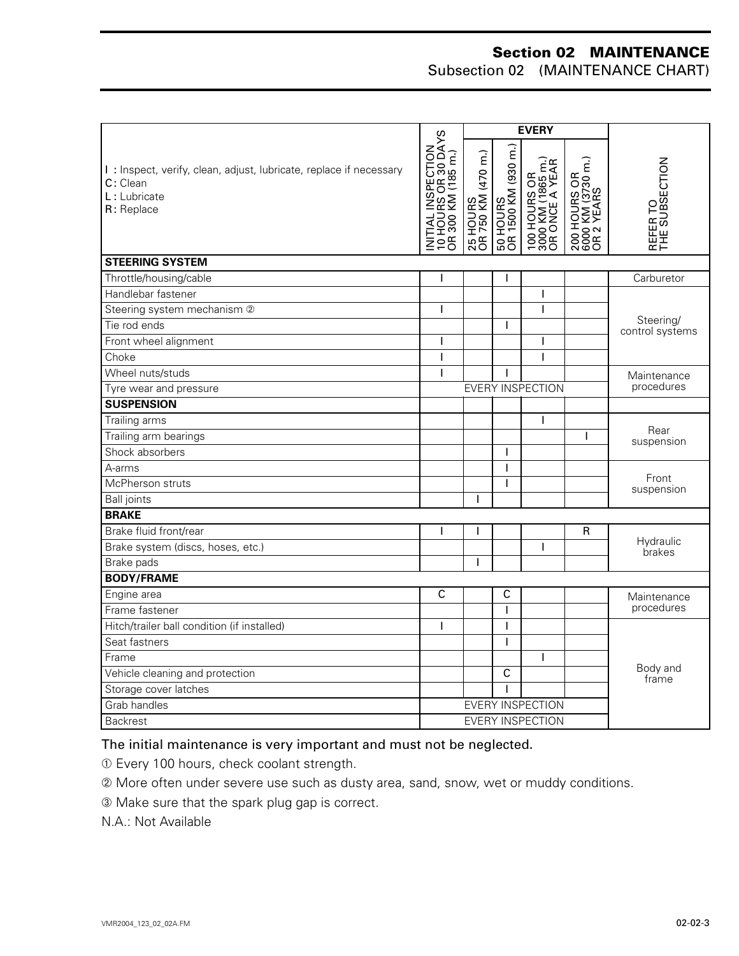Subsection 02 (MAINTENANCE CHART)

| <b>EVERY</b>                                                                                                 |                                                                 |                                |                                 |                                                     |                                                 |                              |  |
|--------------------------------------------------------------------------------------------------------------|-----------------------------------------------------------------|--------------------------------|---------------------------------|-----------------------------------------------------|-------------------------------------------------|------------------------------|--|
| I: Inspect, verify, clean, adjust, lubricate, replace if necessary<br>C: Clean<br>L: Lubricate<br>R: Replace | INITIAL INSPECTION<br>10 HOURS OR 30 DAYS<br>OR 300 KM (185 m.) | 25 HOURS<br>OR 750 KM (470 m.) | 50 HOURS<br>OR 1500 KM (930 m.) | 100 HOURS OR<br>3000 KM (1865 m.)<br>OR ONCE A YEAR | 200 HOURS OR<br>6000 KM (3730 m.)<br>OR 2 YEARS | REFER TO<br>THE SUBSECTION   |  |
| <b>STEERING SYSTEM</b>                                                                                       |                                                                 |                                |                                 |                                                     |                                                 |                              |  |
| Throttle/housing/cable                                                                                       |                                                                 |                                |                                 |                                                     |                                                 | Carburetor                   |  |
| Handlebar fastener                                                                                           |                                                                 |                                |                                 | T                                                   |                                                 |                              |  |
| Steering system mechanism 2                                                                                  |                                                                 |                                |                                 | T                                                   |                                                 |                              |  |
| Tie rod ends                                                                                                 |                                                                 |                                |                                 |                                                     |                                                 | Steering/<br>control systems |  |
| Front wheel alignment                                                                                        | I                                                               |                                |                                 | L                                                   |                                                 |                              |  |
| Choke                                                                                                        | ı                                                               |                                |                                 | $\mathbf{I}$                                        |                                                 |                              |  |
| Wheel nuts/studs                                                                                             | I                                                               |                                |                                 |                                                     |                                                 | Maintenance                  |  |
| Tyre wear and pressure                                                                                       |                                                                 |                                |                                 | <b>EVERY INSPECTION</b>                             |                                                 | procedures                   |  |
| <b>SUSPENSION</b>                                                                                            |                                                                 |                                |                                 |                                                     |                                                 |                              |  |
| Trailing arms                                                                                                |                                                                 |                                |                                 | $\mathbf{I}$                                        |                                                 |                              |  |
| Trailing arm bearings                                                                                        |                                                                 |                                |                                 |                                                     |                                                 | Rear<br>suspension           |  |
| Shock absorbers                                                                                              |                                                                 |                                |                                 |                                                     |                                                 |                              |  |
| A-arms                                                                                                       |                                                                 |                                |                                 |                                                     |                                                 |                              |  |
| McPherson struts                                                                                             |                                                                 |                                | ı                               |                                                     |                                                 | Front<br>suspension          |  |
| <b>Ball</b> joints                                                                                           |                                                                 | ı                              |                                 |                                                     |                                                 |                              |  |
| <b>BRAKE</b>                                                                                                 |                                                                 |                                |                                 |                                                     |                                                 |                              |  |
| Brake fluid front/rear                                                                                       | ı                                                               | $\overline{\phantom{a}}$       |                                 |                                                     | R                                               | Hydraulic<br>brakes          |  |
| Brake system (discs, hoses, etc.)                                                                            |                                                                 |                                |                                 | Т                                                   |                                                 |                              |  |
| Brake pads                                                                                                   |                                                                 | ı                              |                                 |                                                     |                                                 |                              |  |
| <b>BODY/FRAME</b>                                                                                            |                                                                 |                                |                                 |                                                     |                                                 |                              |  |
| Engine area                                                                                                  | C                                                               |                                | $\overline{c}$                  |                                                     |                                                 | Maintenance                  |  |
| Frame fastener                                                                                               |                                                                 |                                |                                 |                                                     |                                                 | procedures                   |  |
| Hitch/trailer ball condition (if installed)                                                                  | ı                                                               |                                |                                 |                                                     |                                                 |                              |  |
| Seat fastners                                                                                                |                                                                 |                                |                                 |                                                     |                                                 |                              |  |
| Frame                                                                                                        |                                                                 |                                |                                 | Т                                                   |                                                 |                              |  |
| Vehicle cleaning and protection                                                                              |                                                                 |                                | С                               |                                                     |                                                 | Body and<br>frame            |  |
| Storage cover latches                                                                                        |                                                                 |                                |                                 |                                                     |                                                 |                              |  |
| Grab handles                                                                                                 | <b>EVERY INSPECTION</b>                                         |                                |                                 |                                                     |                                                 |                              |  |
| <b>Backrest</b>                                                                                              | <b>EVERY INSPECTION</b>                                         |                                |                                 |                                                     |                                                 |                              |  |

#### The initial maintenance is very important and must not be neglected.

➀ Every 100 hours, check coolant strength.

➁ More often under severe use such as dusty area, sand, snow, wet or muddy conditions.

➂ Make sure that the spark plug gap is correct.

N.A.: Not Available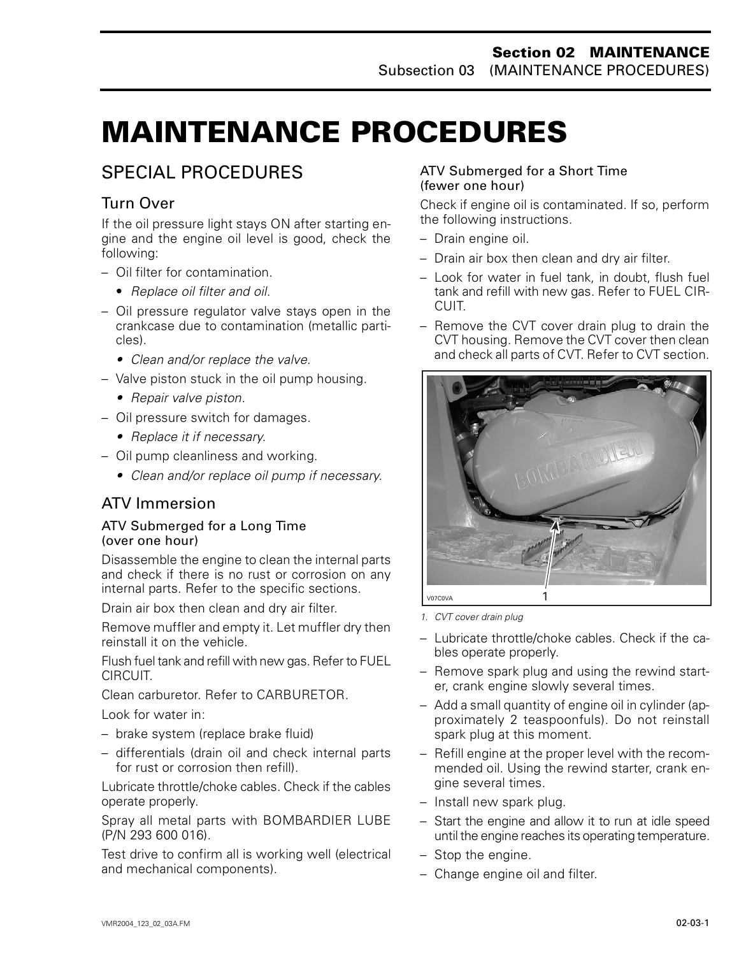# <span id="page-4-0"></span>**MAINTENANCE PROCEDURES 0**

### SPECIAL PROCEDURES

### Turn Over

If the oil pressure light stays ON after starting engine and the engine oil level is good, check the following:

- Oil filter for contamination.
	- *Replace oil filter and oil*.
- Oil pressure regulator valve stays open in the crankcase due to contamination (metallic particles).
	- *Clean and/or replace the valve.*
- Valve piston stuck in the oil pump housing.
	- *• Repair valve piston.*
- Oil pressure switch for damages.
	- *• Replace it if necessary.*
- Oil pump cleanliness and working.
	- *• Clean and/or replace oil pump if necessary.*

### ATV Immersion

#### ATV Submerged for a Long Time (over one hour)

Disassemble the engine to clean the internal parts and check if there is no rust or corrosion on any internal parts. Refer to the specific sections.

Drain air box then clean and dry air filter.

Remove muffler and empty it. Let muffler dry then reinstall it on the vehicle.

Flush fuel tank and refill with new gas. Refer to FUEL CIRCUIT.

Clean carburetor. Refer to CARBURETOR.

Look for water in:

- brake system (replace brake fluid)
- differentials (drain oil and check internal parts for rust or corrosion then refill).

Lubricate throttle/choke cables. Check if the cables operate properly.

Spray all metal parts with BOMBARDIER LUBE (P/N 293 600 016).

Test drive to confirm all is working well (electrical and mechanical components).

#### ATV Submerged for a Short Time (fewer one hour)

Check if engine oil is contaminated. If so, perform the following instructions.

- Drain engine oil.
- Drain air box then clean and dry air filter.
- Look for water in fuel tank, in doubt, flush fuel tank and refill with new gas. Refer to FUEL CIR-CUIT.
- Remove the CVT cover drain plug to drain the CVT housing. Remove the CVT cover then clean and check all parts of CVT. Refer to CVT section.



*1. CVT cover drain plug*

- Lubricate throttle/choke cables. Check if the cables operate properly.
- Remove spark plug and using the rewind starter, crank engine slowly several times.
- Add a small quantity of engine oil in cylinder (approximately 2 teaspoonfuls). Do not reinstall spark plug at this moment.
- Refill engine at the proper level with the recommended oil. Using the rewind starter, crank engine several times.
- Install new spark plug.
- Start the engine and allow it to run at idle speed until the engine reaches its operating temperature.
- Stop the engine.
- Change engine oil and filter.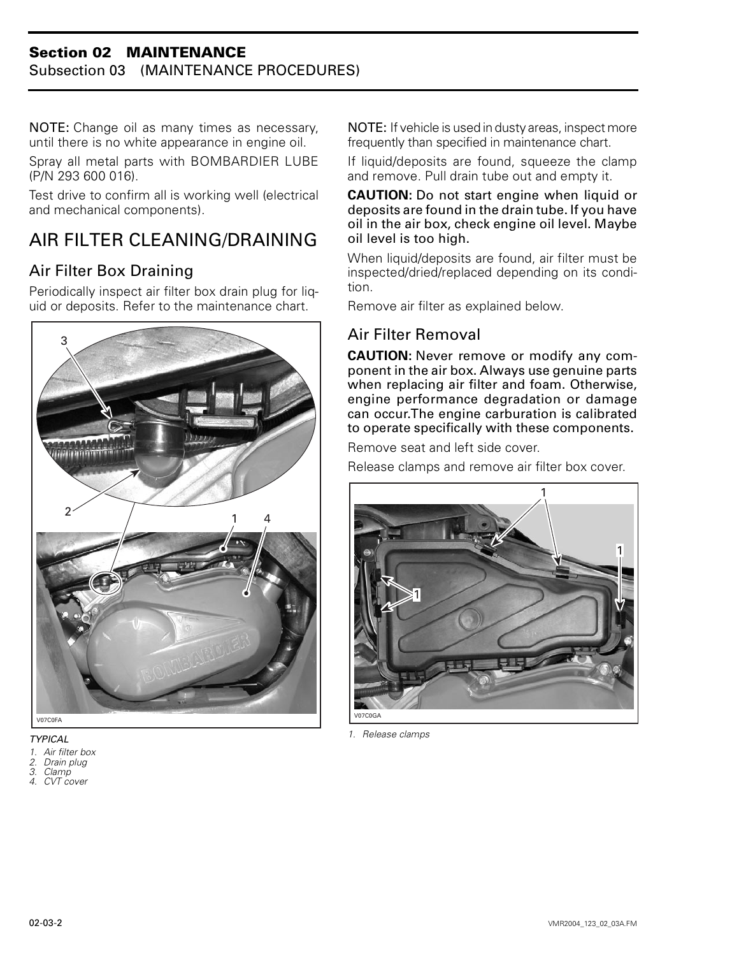#### **Section 02 MAINTENANCE** Subsection 03 (MAINTENANCE PROCEDURES)

NOTE: Change oil as many times as necessary, until there is no white appearance in engine oil.

Spray all metal parts with BOMBARDIER LUBE (P/N 293 600 016).

Test drive to confirm all is working well (electrical and mechanical components).

## <span id="page-5-0"></span>AIR FILTER CLEANING/DRAINING

### Air Filter Box Draining

Periodically inspect air filter box drain plug for liquid or deposits. Refer to the maintenance chart.



*TYPICAL*

- *1. Air filter box*
- *2. Drain plug 3. Clamp*
- *4. CVT cover*

NOTE: If vehicle is used in dusty areas, inspect more frequently than specified in maintenance chart.

If liquid/deposits are found, squeeze the clamp and remove. Pull drain tube out and empty it.

**CAUTION:** Do not start engine when liquid or deposits are found in the drain tube. If you have oil in the air box, check engine oil level. Maybe oil level is too high.

When liquid/deposits are found, air filter must be inspected/dried/replaced depending on its condition.

Remove air filter as explained below.

### Air Filter Removal

**CAUTION:** Never remove or modify any component in the air box. Always use genuine parts when replacing air filter and foam. Otherwise, engine performance degradation or damage can occur.The engine carburation is calibrated to operate specifically with these components.

Remove seat and left side cover.

Release clamps and remove air filter box cover.



*1. Release clamps*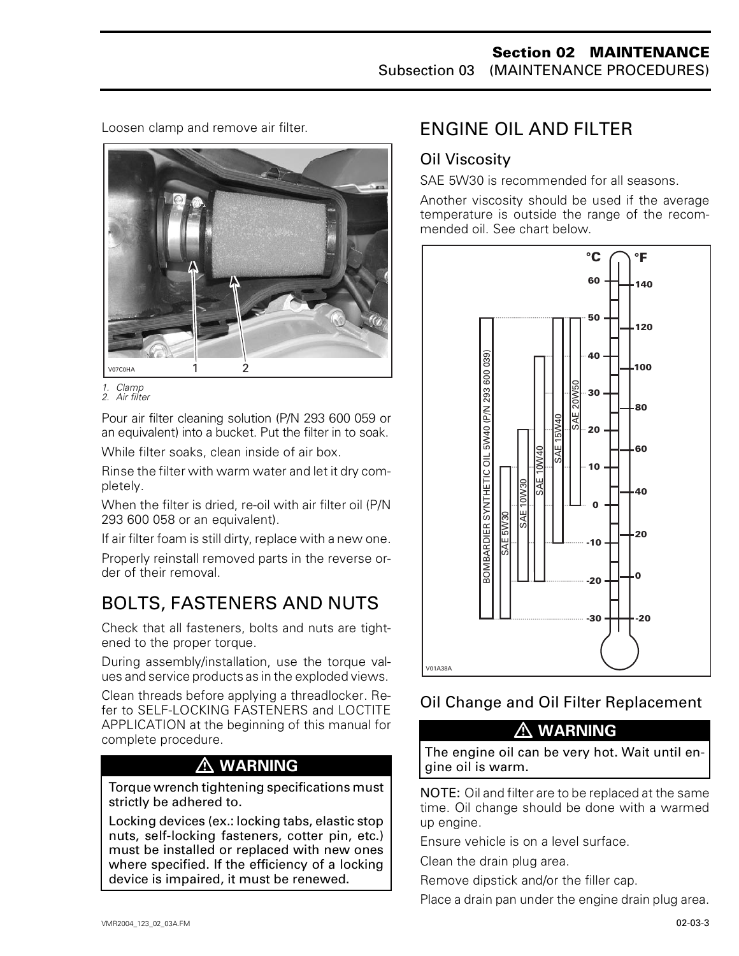Loosen clamp and remove air filter.



*<sup>1.</sup> Clamp 2. Air filter*

Pour air filter cleaning solution (P/N 293 600 059 or an equivalent) into a bucket. Put the filter in to soak.

While filter soaks, clean inside of air box.

Rinse the filter with warm water and let it dry completely.

When the filter is dried, re-oil with air filter oil (P/N 293 600 058 or an equivalent).

If air filter foam is still dirty, replace with a new one.

Properly reinstall removed parts in the reverse order of their removal.

# <span id="page-6-0"></span>BOLTS, FASTENERS AND NUTS

Check that all fasteners, bolts and nuts are tightened to the proper torque.

During assembly/installation, use the torque values and service products as in the exploded views.

Clean threads before applying a threadlocker. Refer to SELF-LOCKING FASTENERS and LOCTITE APPLICATION at the beginning of this manual for complete procedure.

### **WARNING**

Torque wrench tightening specifications must strictly be adhered to.

Locking devices (ex.: locking tabs, elastic stop nuts, self-locking fasteners, cotter pin, etc.) must be installed or replaced with new ones where specified. If the efficiency of a locking device is impaired, it must be renewed.

## ENGINE OIL AND FILTER

### Oil Viscosity

SAE 5W30 is recommended for all seasons.

Another viscosity should be used if the average temperature is outside the range of the recommended oil. See chart below.



### Oil Change and Oil Filter Replacement

### **WARNING**

The engine oil can be very hot. Wait until engine oil is warm.

NOTE: Oil and filter are to be replaced at the same time. Oil change should be done with a warmed up engine.

Ensure vehicle is on a level surface.

Clean the drain plug area.

Remove dipstick and/or the filler cap.

Place a drain pan under the engine drain plug area.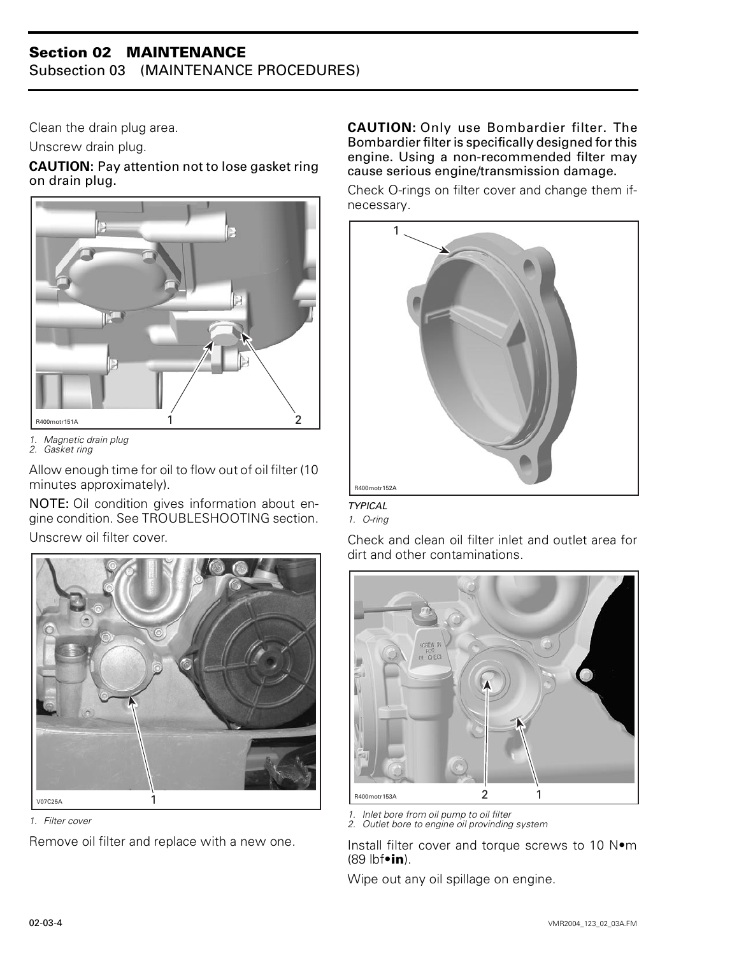Subsection 03 (MAINTENANCE PROCEDURES)

Clean the drain plug area.

Unscrew drain plug.

**CAUTION:** Pay attention not to lose gasket ring on drain plug.



*1. Magnetic drain plug*

*2. Gasket ring*

Allow enough time for oil to flow out of oil filter (10 minutes approximately).

NOTE: Oil condition gives information about engine condition. See TROUBLESHOOTING section.

Unscrew oil filter cover.



*1. Filter cover*

Remove oil filter and replace with a new one.

**CAUTION:** Only use Bombardier filter. The Bombardier filter is specifically designed for this engine. Using a non-recommended filter may cause serious engine/transmission damage.

Check O-rings on filter cover and change them ifnecessary.



#### *TYPICAL*

*1. O-ring*

Check and clean oil filter inlet and outlet area for dirt and other contaminations.



*1. Inlet bore from oil pump to oil filter 2. Outlet bore to engine oil provinding system*

Install filter cover and torque screws to 10 N•m (89 lbf•**in**).

Wipe out any oil spillage on engine.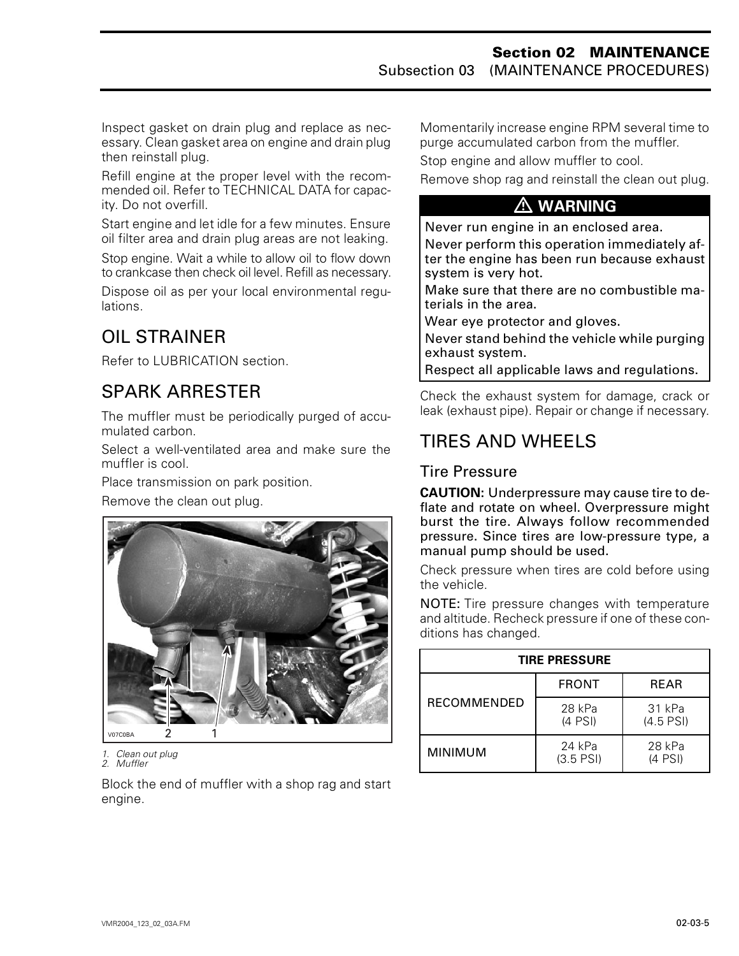Inspect gasket on drain plug and replace as necessary. Clean gasket area on engine and drain plug then reinstall plug.

Refill engine at the proper level with the recommended oil. Refer to TECHNICAL DATA for capacity. Do not overfill.

Start engine and let idle for a few minutes. Ensure oil filter area and drain plug areas are not leaking.

Stop engine. Wait a while to allow oil to flow down to crankcase then check oil level. Refill as necessary.

Dispose oil as per your local environmental regulations.

## <span id="page-8-0"></span>OIL STRAINER

Refer to LUBRICATION section.

### SPARK ARRESTER

The muffler must be periodically purged of accumulated carbon.

Select a well-ventilated area and make sure the muffler is cool.

Place transmission on park position.

Remove the clean out plug.



*1. Clean out plug 2. Muffler*

Block the end of muffler with a shop rag and start engine.

Momentarily increase engine RPM several time to purge accumulated carbon from the muffler.

Stop engine and allow muffler to cool.

Remove shop rag and reinstall the clean out plug.

#### **WARNING**

Never run engine in an enclosed area.

Never perform this operation immediately after the engine has been run because exhaust system is very hot.

Make sure that there are no combustible materials in the area.

Wear eye protector and gloves.

Never stand behind the vehicle while purging exhaust system.

Respect all applicable laws and regulations.

Check the exhaust system for damage, crack or leak (exhaust pipe). Repair or change if necessary.

### TIRES AND WHEELS

### Tire Pressure

**CAUTION:** Underpressure may cause tire to deflate and rotate on wheel. Overpressure might burst the tire. Always follow recommended pressure. Since tires are low-pressure type, a manual pump should be used.

Check pressure when tires are cold before using the vehicle.

NOTE: Tire pressure changes with temperature and altitude. Recheck pressure if one of these conditions has changed.

| <b>TIRE PRESSURE</b> |                       |                       |  |  |  |  |  |
|----------------------|-----------------------|-----------------------|--|--|--|--|--|
|                      | <b>FRONT</b>          | <b>REAR</b>           |  |  |  |  |  |
| <b>RECOMMENDED</b>   | 28 kPa<br>$(4$ PSI)   | 31 kPa<br>$(4.5$ PSI) |  |  |  |  |  |
| <b>MINIMUM</b>       | 24 kPa<br>$(3.5$ PSI) | 28 kPa<br>$(4$ PSI)   |  |  |  |  |  |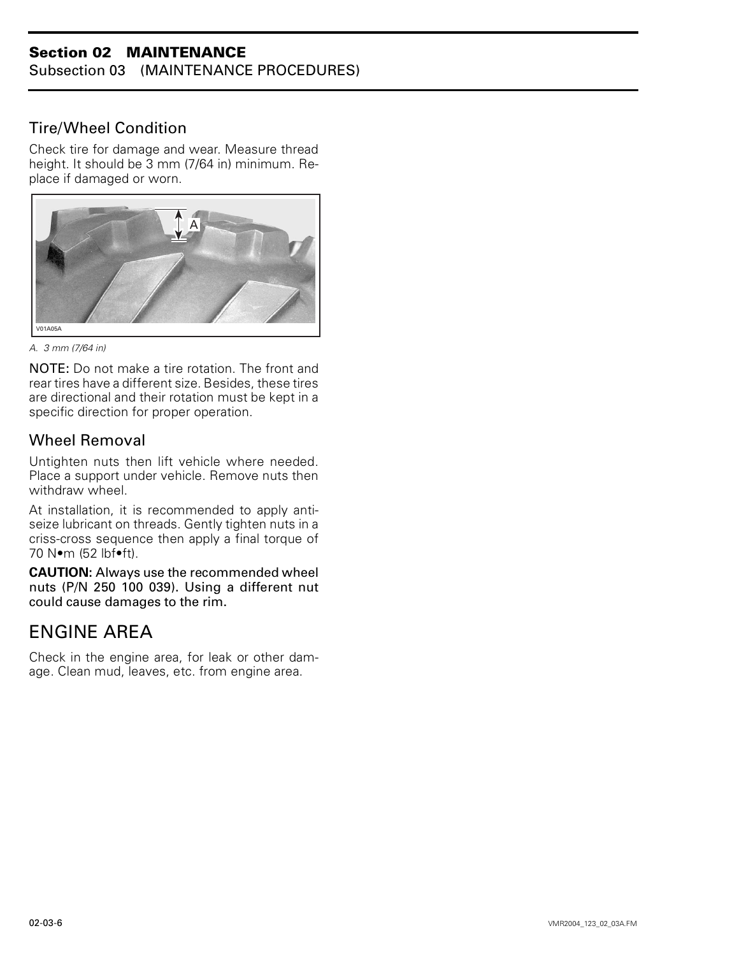Subsection 03 (MAINTENANCE PROCEDURES)

#### Tire/Wheel Condition

Check tire for damage and wear. Measure thread height. It should be 3 mm (7/64 in) minimum. Replace if damaged or worn.



*A. 3 mm (7/64 in)*

NOTE: Do not make a tire rotation. The front and rear tires have a different size. Besides, these tires are directional and their rotation must be kept in a specific direction for proper operation.

#### Wheel Removal

Untighten nuts then lift vehicle where needed. Place a support under vehicle. Remove nuts then withdraw wheel.

At installation, it is recommended to apply antiseize lubricant on threads. Gently tighten nuts in a criss-cross sequence then apply a final torque of 70 N•m (52 lbf•ft).

**CAUTION:** Always use the recommended wheel nuts (P/N 250 100 039). Using a different nut could cause damages to the rim.

### <span id="page-9-0"></span>ENGINE AREA

Check in the engine area, for leak or other damage. Clean mud, leaves, etc. from engine area.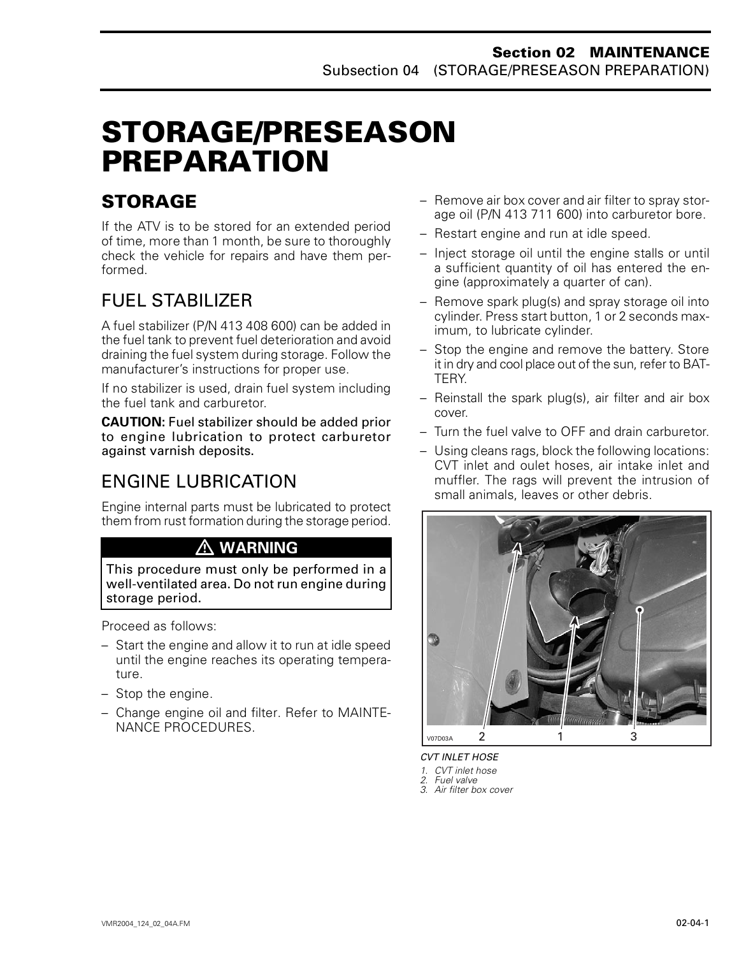# <span id="page-10-0"></span>**STORAGE/PRESEASON PREPARATION 0**

## **STORAGE**

If the ATV is to be stored for an extended period of time, more than 1 month, be sure to thoroughly check the vehicle for repairs and have them performed.

# FUEL STABILIZER

A fuel stabilizer (P/N 413 408 600) can be added in the fuel tank to prevent fuel deterioration and avoid draining the fuel system during storage. Follow the manufacturer's instructions for proper use.

If no stabilizer is used, drain fuel system including the fuel tank and carburetor.

**CAUTION:** Fuel stabilizer should be added prior to engine lubrication to protect carburetor against varnish deposits.

## ENGINE LUBRICATION

Engine internal parts must be lubricated to protect them from rust formation during the storage period.

### **WARNING**

This procedure must only be performed in a well-ventilated area. Do not run engine during storage period.

Proceed as follows:

- Start the engine and allow it to run at idle speed until the engine reaches its operating temperature.
- Stop the engine.
- Change engine oil and filter. Refer to MAINTE-NANCE PROCEDURES.
- Remove air box cover and air filter to spray storage oil (P/N 413 711 600) into carburetor bore.
- Restart engine and run at idle speed.
- Inject storage oil until the engine stalls or until a sufficient quantity of oil has entered the engine (approximately a quarter of can).
- Remove spark plug(s) and spray storage oil into cylinder. Press start button, 1 or 2 seconds maximum, to lubricate cylinder.
- Stop the engine and remove the battery. Store it in dry and cool place out of the sun, refer to BAT-TERY.
- Reinstall the spark plug(s), air filter and air box cover.
- Turn the fuel valve to OFF and drain carburetor.
- Using cleans rags, block the following locations: CVT inlet and oulet hoses, air intake inlet and muffler. The rags will prevent the intrusion of small animals, leaves or other debris.



*CVT INLET HOSE*

- *1. CVT inlet hose*
- *2. Fuel valve*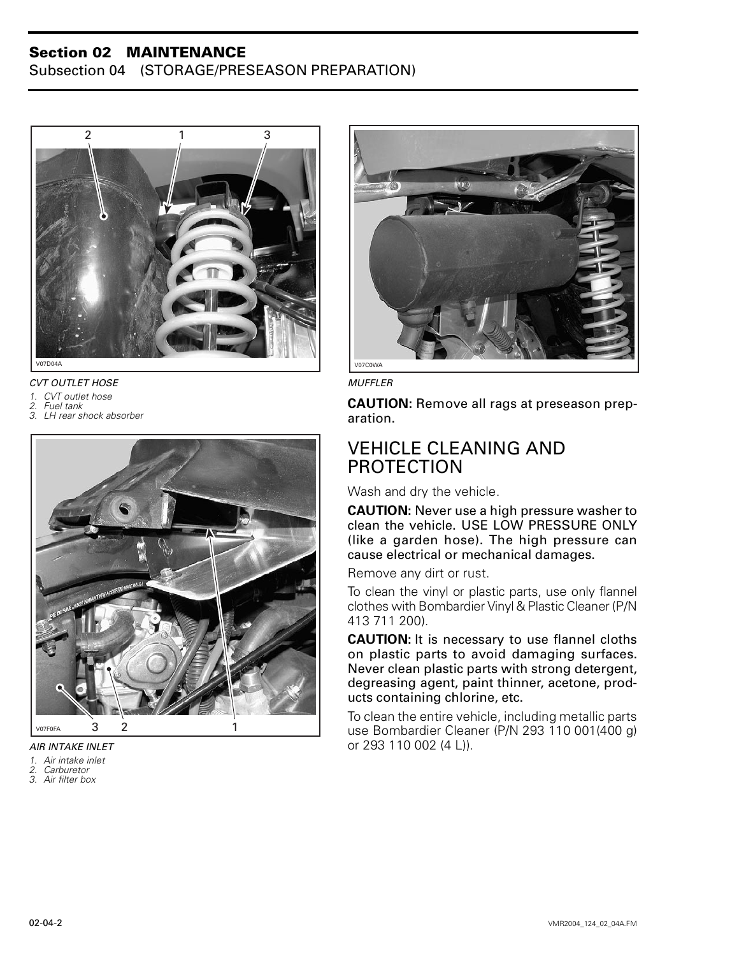Subsection 04 (STORAGE/PRESEASON PREPARATION)



*CVT OUTLET HOSE*

*1. CVT outlet hose*

*2. Fuel tank*

*3. LH rear shock absorber*



*AIR INTAKE INLET*

- 
- *1. Air intake inlet 2. Carburetor*
- *3. Air filter box*



*MUFFLER*

**CAUTION:** Remove all rags at preseason preparation.

### <span id="page-11-0"></span>VEHICLE CLEANING AND PROTECTION

Wash and dry the vehicle.

**CAUTION:** Never use a high pressure washer to clean the vehicle. USE LOW PRESSURE ONLY (like a garden hose). The high pressure can cause electrical or mechanical damages.

Remove any dirt or rust.

To clean the vinyl or plastic parts, use only flannel clothes with Bombardier Vinyl & Plastic Cleaner (P/N 413 711 200).

**CAUTION:** It is necessary to use flannel cloths on plastic parts to avoid damaging surfaces. Never clean plastic parts with strong detergent, degreasing agent, paint thinner, acetone, products containing chlorine, etc.

To clean the entire vehicle, including metallic parts use Bombardier Cleaner (P/N 293 110 001(400 g) or 293 110 002 (4 L)).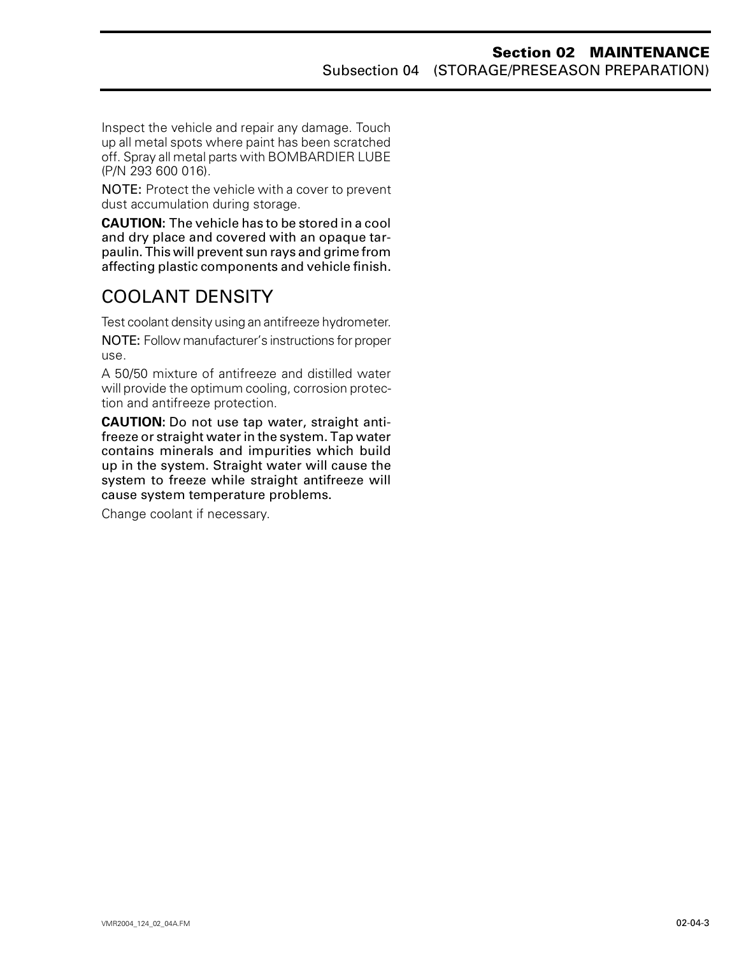Inspect the vehicle and repair any damage. Touch up all metal spots where paint has been scratched off. Spray all metal parts with BOMBARDIER LUBE (P/N 293 600 016).

NOTE: Protect the vehicle with a cover to prevent dust accumulation during storage.

**CAUTION:** The vehicle has to be stored in a cool and dry place and covered with an opaque tarpaulin. This will prevent sun rays and grime from affecting plastic components and vehicle finish.

### <span id="page-12-0"></span>COOLANT DENSITY

Test coolant density using an antifreeze hydrometer.

NOTE: Follow manufacturer's instructions for proper use.

A 50/50 mixture of antifreeze and distilled water will provide the optimum cooling, corrosion protection and antifreeze protection.

**CAUTION:** Do not use tap water, straight antifreeze or straight water in the system. Tap water contains minerals and impurities which build up in the system. Straight water will cause the system to freeze while straight antifreeze will cause system temperature problems.

Change coolant if necessary.